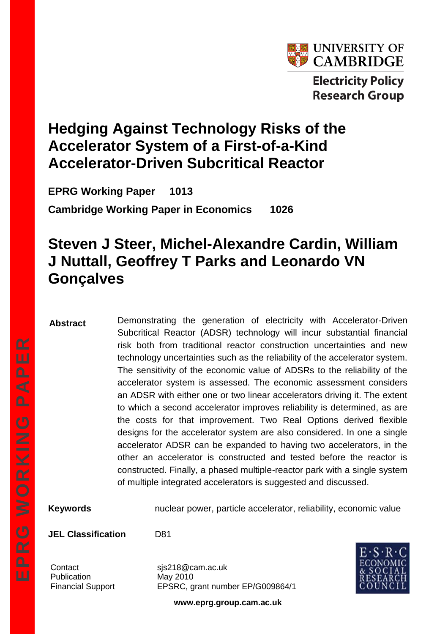

**Electricity Policy Research Group** 

# **Hedging Against Technology Risks of the Accelerator System of a First-of-a-Kind Accelerator-Driven Subcritical Reactor**

**EPRG Working Paper 1013 Cambridge Working Paper in Economics 1026**

# **Steven J Steer, Michel-Alexandre Cardin, William J Nuttall, Geoffrey T Parks and Leonardo VN Gonçalves**

**Abstract** Demonstrating the generation of electricity with Accelerator-Driven Subcritical Reactor (ADSR) technology will incur substantial financial risk both from traditional reactor construction uncertainties and new technology uncertainties such as the reliability of the accelerator system. The sensitivity of the economic value of ADSRs to the reliability of the accelerator system is assessed. The economic assessment considers an ADSR with either one or two linear accelerators driving it. The extent to which a second accelerator improves reliability is determined, as are the costs for that improvement. Two Real Options derived flexible designs for the accelerator system are also considered. In one a single accelerator ADSR can be expanded to having two accelerators, in the other an accelerator is constructed and tested before the reactor is constructed. Finally, a phased multiple-reactor park with a single system of multiple integrated accelerators is suggested and discussed.

**Keywords** nuclear power, particle accelerator, reliability, economic value

**JEL Classification** D81

Publication May 2010

Contact sis218@cam.ac.uk Financial Support EPSRC, grant number EP/G009864/1



**www.eprg.group.cam.ac.uk**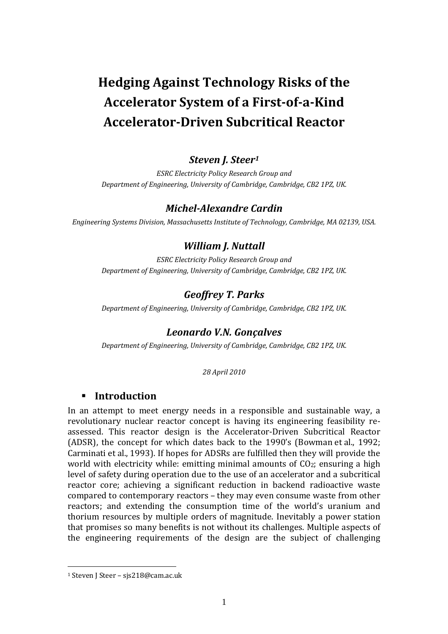# **Hedging Against Technology Risks of the Accelerator System of a First-of-a-Kind Accelerator-Driven Subcritical Reactor**

#### *Steven J. Steer1*

*ESRC Electricity Policy Research Group and Department of Engineering, University of Cambridge, Cambridge, CB2 1PZ, UK.* 

#### *Michel-Alexandre Cardin*

*Engineering Systems Division, Massachusetts Institute of Technology, Cambridge, MA 02139, USA.* 

## *William J. Nuttall*

*ESRC Electricity Policy Research Group and Department of Engineering, University of Cambridge, Cambridge, CB2 1PZ, UK.* 

## *Geoffrey T. Parks*

*Department of Engineering, University of Cambridge, Cambridge, CB2 1PZ, UK.* 

#### *Leonardo V.N. Gonçalves*

*Department of Engineering, University of Cambridge, Cambridge, CB2 1PZ, UK.*

*28 April 2010* 

#### **Introduction**

In an attempt to meet energy needs in a responsible and sustainable way, a revolutionary nuclear reactor concept is having its engineering feasibility reassessed. This reactor design is the Accelerator-Driven Subcritical Reactor (ADSR), the concept for which dates back to the 1990's (Bowman et al., 1992; Carminati et al., 1993). If hopes for ADSRs are fulfilled then they will provide the world with electricity while: emitting minimal amounts of  $CO<sub>2</sub>$ ; ensuring a high level of safety during operation due to the use of an accelerator and a subcritical reactor core; achieving a significant reduction in backend radioactive waste compared to contemporary reactors – they may even consume waste from other reactors; and extending the consumption time of the world's uranium and thorium resources by multiple orders of magnitude. Inevitably a power station that promises so many benefits is not without its challenges. Multiple aspects of the engineering requirements of the design are the subject of challenging

 $\overline{a}$ 

<sup>1</sup> Steven J Steer – sjs218@cam.ac.uk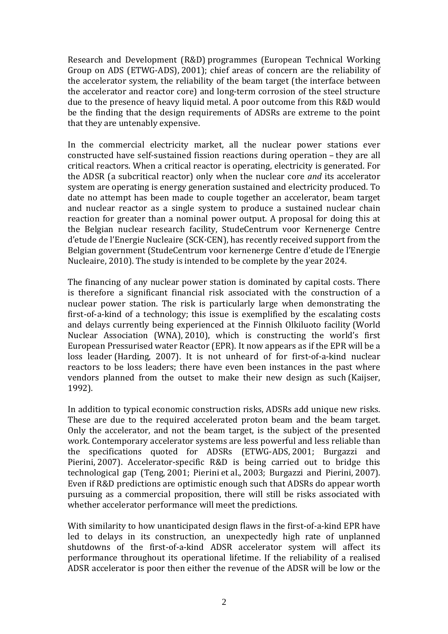Research and Development (R&D) programmes (European Technical Working Group on ADS (ETWG-ADS), 2001); chief areas of concern are the reliability of the accelerator system, the reliability of the beam target (the interface between the accelerator and reactor core) and long-term corrosion of the steel structure due to the presence of heavy liquid metal. A poor outcome from this R&D would be the finding that the design requirements of ADSRs are extreme to the point that they are untenably expensive.

In the commercial electricity market, all the nuclear power stations ever constructed have self-sustained fission reactions during operation – they are all critical reactors. When a critical reactor is operating, electricity is generated. For the ADSR (a subcritical reactor) only when the nuclear core *and* its accelerator system are operating is energy generation sustained and electricity produced. To date no attempt has been made to couple together an accelerator, beam target and nuclear reactor as a single system to produce a sustained nuclear chain reaction for greater than a nominal power output. A proposal for doing this at the Belgian nuclear research facility, StudeCentrum voor Kernenerge Centre d'etude de l'Energie Nucleaire (SCK·CEN), has recently received support from the Belgian government (StudeCentrum voor kernenerge Centre d'etude de l'Energie Nucleaire, 2010). The study is intended to be complete by the year 2024.

The financing of any nuclear power station is dominated by capital costs. There is therefore a significant financial risk associated with the construction of a nuclear power station. The risk is particularly large when demonstrating the first-of-a-kind of a technology; this issue is exemplified by the escalating costs and delays currently being experienced at the Finnish Olkiluoto facility (World Nuclear Association (WNA), 2010), which is constructing the world's first European Pressurised water Reactor (EPR). It now appears as if the EPR will be a loss leader (Harding, 2007). It is not unheard of for first-of-a-kind nuclear reactors to be loss leaders; there have even been instances in the past where vendors planned from the outset to make their new design as such (Kaijser, 1992).

In addition to typical economic construction risks, ADSRs add unique new risks. These are due to the required accelerated proton beam and the beam target. Only the accelerator, and not the beam target, is the subject of the presented work. Contemporary accelerator systems are less powerful and less reliable than the specifications quoted for ADSRs (ETWG-ADS, 2001; Burgazzi and Pierini, 2007). Accelerator-specific R&D is being carried out to bridge this technological gap (Teng, 2001; Pierini et al., 2003; Burgazzi and Pierini, 2007). Even if R&D predictions are optimistic enough such that ADSRs do appear worth pursuing as a commercial proposition, there will still be risks associated with whether accelerator performance will meet the predictions.

With similarity to how unanticipated design flaws in the first-of-a-kind EPR have led to delays in its construction, an unexpectedly high rate of unplanned shutdowns of the first-of-a-kind ADSR accelerator system will affect its performance throughout its operational lifetime. If the reliability of a realised ADSR accelerator is poor then either the revenue of the ADSR will be low or the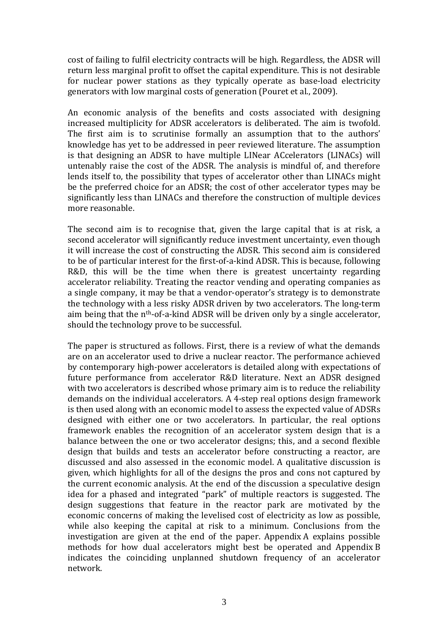cost of failing to fulfil electricity contracts will be high. Regardless, the ADSR will return less marginal profit to offset the capital expenditure. This is not desirable for nuclear power stations as they typically operate as base-load electricity generators with low marginal costs of generation (Pouret et al., 2009).

An economic analysis of the benefits and costs associated with designing increased multiplicity for ADSR accelerators is deliberated. The aim is twofold. The first aim is to scrutinise formally an assumption that to the authors' knowledge has yet to be addressed in peer reviewed literature. The assumption is that designing an ADSR to have multiple LINear ACcelerators (LINACs) will untenably raise the cost of the ADSR. The analysis is mindful of, and therefore lends itself to, the possibility that types of accelerator other than LINACs might be the preferred choice for an ADSR; the cost of other accelerator types may be significantly less than LINACs and therefore the construction of multiple devices more reasonable.

The second aim is to recognise that, given the large capital that is at risk, a second accelerator will significantly reduce investment uncertainty, even though it will increase the cost of constructing the ADSR. This second aim is considered to be of particular interest for the first-of-a-kind ADSR. This is because, following R&D, this will be the time when there is greatest uncertainty regarding accelerator reliability. Treating the reactor vending and operating companies as a single company, it may be that a vendor-operator's strategy is to demonstrate the technology with a less risky ADSR driven by two accelerators. The long-term aim being that the nth-of-a-kind ADSR will be driven only by a single accelerator, should the technology prove to be successful.

The paper is structured as follows. First, there is a review of what the demands are on an accelerator used to drive a nuclear reactor. The performance achieved by contemporary high-power accelerators is detailed along with expectations of future performance from accelerator R&D literature. Next an ADSR designed with two accelerators is described whose primary aim is to reduce the reliability demands on the individual accelerators. A 4-step real options design framework is then used along with an economic model to assess the expected value of ADSRs designed with either one or two accelerators. In particular, the real options framework enables the recognition of an accelerator system design that is a balance between the one or two accelerator designs; this, and a second flexible design that builds and tests an accelerator before constructing a reactor, are discussed and also assessed in the economic model. A qualitative discussion is given, which highlights for all of the designs the pros and cons not captured by the current economic analysis. At the end of the discussion a speculative design idea for a phased and integrated "park" of multiple reactors is suggested. The design suggestions that feature in the reactor park are motivated by the economic concerns of making the levelised cost of electricity as low as possible, while also keeping the capital at risk to a minimum. Conclusions from the investigation are given at the end of the paper. Appendix A explains possible methods for how dual accelerators might best be operated and Appendix B indicates the coinciding unplanned shutdown frequency of an accelerator network.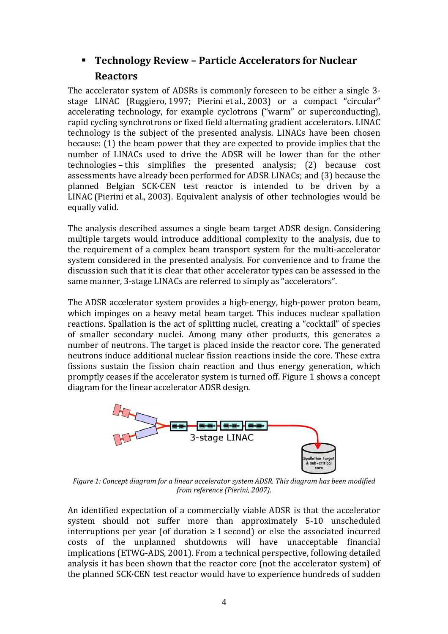## **Technology Review – Particle Accelerators for Nuclear Reactors**

The accelerator system of ADSRs is commonly foreseen to be either a single 3 stage LINAC (Ruggiero, 1997; Pierini et al., 2003) or a compact "circular" accelerating technology, for example cyclotrons ("warm" or superconducting), rapid cycling synchrotrons or fixed field alternating gradient accelerators. LINAC technology is the subject of the presented analysis. LINACs have been chosen because: (1) the beam power that they are expected to provide implies that the number of LINACs used to drive the ADSR will be lower than for the other technologies – this simplifies the presented analysis; (2) because cost assessments have already been performed for ADSR LINACs; and (3) because the planned Belgian SCK·CEN test reactor is intended to be driven by a LINAC (Pierini et al., 2003). Equivalent analysis of other technologies would be equally valid.

The analysis described assumes a single beam target ADSR design. Considering multiple targets would introduce additional complexity to the analysis, due to the requirement of a complex beam transport system for the multi-accelerator system considered in the presented analysis. For convenience and to frame the discussion such that it is clear that other accelerator types can be assessed in the same manner, 3-stage LINACs are referred to simply as "accelerators".

The ADSR accelerator system provides a high-energy, high-power proton beam, which impinges on a heavy metal beam target. This induces nuclear spallation reactions. Spallation is the act of splitting nuclei, creating a "cocktail" of species of smaller secondary nuclei. Among many other products, this generates a number of neutrons. The target is placed inside the reactor core. The generated neutrons induce additional nuclear fission reactions inside the core. These extra fissions sustain the fission chain reaction and thus energy generation, which promptly ceases if the accelerator system is turned off. Figure 1 shows a concept diagram for the linear accelerator ADSR design.



*Figure 1: Concept diagram for a linear accelerator system ADSR. This diagram has been modified from reference (Pierini, 2007).* 

An identified expectation of a commercially viable ADSR is that the accelerator system should not suffer more than approximately 5-10 unscheduled interruptions per year (of duration  $\geq 1$  second) or else the associated incurred costs of the unplanned shutdowns will have unacceptable financial implications (ETWG-ADS, 2001). From a technical perspective, following detailed analysis it has been shown that the reactor core (not the accelerator system) of the planned SCK·CEN test reactor would have to experience hundreds of sudden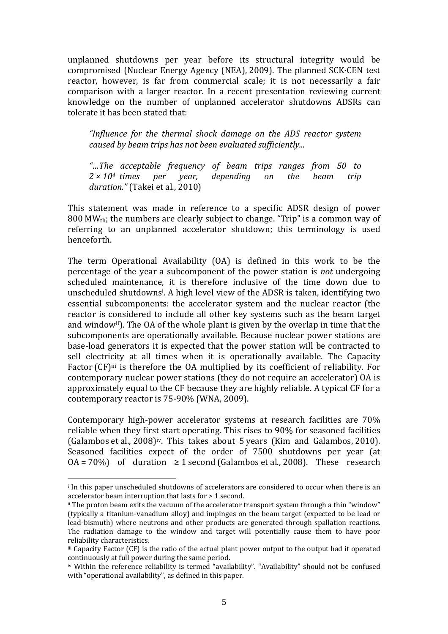unplanned shutdowns per year before its structural integrity would be compromised (Nuclear Energy Agency (NEA), 2009). The planned SCK·CEN test reactor, however, is far from commercial scale; it is not necessarily a fair comparison with a larger reactor. In a recent presentation reviewing current knowledge on the number of unplanned accelerator shutdowns ADSRs can tolerate it has been stated that:

*"Influence for the thermal shock damage on the ADS reactor system caused by beam trips has not been evaluated sufficiently...* 

*"…The acceptable frequency of beam trips ranges from 50 to 2 × 104 times per year, depending on the beam trip duration."* (Takei et al., 2010)

This statement was made in reference to a specific ADSR design of power 800 MW $_{\text{th}}$ ; the numbers are clearly subject to change. "Trip" is a common way of referring to an unplanned accelerator shutdown; this terminology is used henceforth.

The term Operational Availability (OA) is defined in this work to be the percentage of the year a subcomponent of the power station is *not* undergoing scheduled maintenance, it is therefore inclusive of the time down due to unscheduled shutdownsi . A high level view of the ADSR is taken, identifying two essential subcomponents: the accelerator system and the nuclear reactor (the reactor is considered to include all other key systems such as the beam target and windowii). The OA of the whole plant is given by the overlap in time that the subcomponents are operationally available. Because nuclear power stations are base-load generators it is expected that the power station will be contracted to sell electricity at all times when it is operationally available. The Capacity Factor (CF)<sup>iii</sup> is therefore the OA multiplied by its coefficient of reliability. For contemporary nuclear power stations (they do not require an accelerator) OA is approximately equal to the CF because they are highly reliable. A typical CF for a contemporary reactor is 75-90% (WNA, 2009).

Contemporary high-power accelerator systems at research facilities are 70% reliable when they first start operating. This rises to 90% for seasoned facilities (Galambos et al., 2008)iv. This takes about 5 years (Kim and Galambos, 2010). Seasoned facilities expect of the order of 7500 shutdowns per year (at OA = 70%) of duration  $\geq 1$  second (Galambos et al., 2008). These research

 $\overline{a}$ 

i In this paper unscheduled shutdowns of accelerators are considered to occur when there is an accelerator beam interruption that lasts for  $> 1$  second.<br>ii The proton beam exits the vacuum of the accelerator transport system through a thin "window"

<sup>(</sup>typically a titanium-vanadium alloy) and impinges on the beam target (expected to be lead or lead-bismuth) where neutrons and other products are generated through spallation reactions. The radiation damage to the window and target will potentially cause them to have poor reliability characteristics.

iii Capacity Factor (CF) is the ratio of the actual plant power output to the output had it operated continuously at full power during the same period. iv Within the reference reliability is termed "availability". "Availability" should not be confused

with "operational availability", as defined in this paper.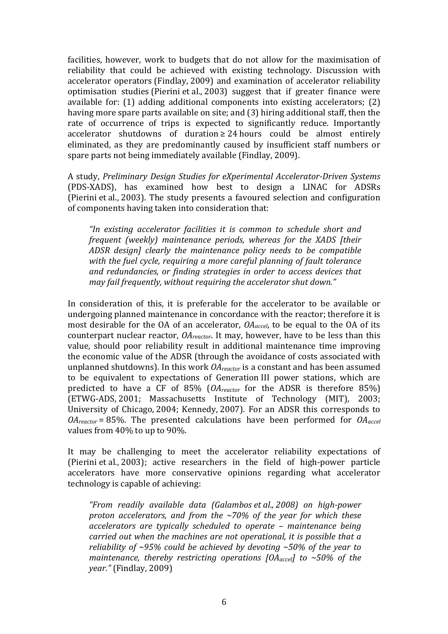facilities, however, work to budgets that do not allow for the maximisation of reliability that could be achieved with existing technology. Discussion with accelerator operators (Findlay, 2009) and examination of accelerator reliability optimisation studies (Pierini et al., 2003) suggest that if greater finance were available for: (1) adding additional components into existing accelerators; (2) having more spare parts available on site; and (3) hiring additional staff, then the rate of occurrence of trips is expected to significantly reduce. Importantly accelerator shutdowns of duration  $\geq 24$  hours could be almost entirely eliminated, as they are predominantly caused by insufficient staff numbers or spare parts not being immediately available (Findlay, 2009).

A study, *Preliminary Design Studies for eXperimental Accelerator-Driven Systems* (PDS-XADS), has examined how best to design a LINAC for ADSRs (Pierini et al., 2003). The study presents a favoured selection and configuration of components having taken into consideration that:

*"In existing accelerator facilities it is common to schedule short and frequent (weekly) maintenance periods, whereas for the XADS [their ADSR design] clearly the maintenance policy needs to be compatible with the fuel cycle, requiring a more careful planning of fault tolerance and redundancies, or finding strategies in order to access devices that may fail frequently, without requiring the accelerator shut down."* 

In consideration of this, it is preferable for the accelerator to be available or undergoing planned maintenance in concordance with the reactor; therefore it is most desirable for the OA of an accelerator, *OAaccel*, to be equal to the OA of its counterpart nuclear reactor, *OAreactor*. It may, however, have to be less than this value, should poor reliability result in additional maintenance time improving the economic value of the ADSR (through the avoidance of costs associated with unplanned shutdowns). In this work *OAreactor* is a constant and has been assumed to be equivalent to expectations of Generation III power stations, which are predicted to have a CF of 85% (*OAreactor* for the ADSR is therefore 85%) (ETWG-ADS, 2001; Massachusetts Institute of Technology (MIT), 2003; University of Chicago, 2004; Kennedy, 2007). For an ADSR this corresponds to *OAreactor* = 85%. The presented calculations have been performed for *OAaccel* values from 40% to up to 90%.

It may be challenging to meet the accelerator reliability expectations of (Pierini et al., 2003); active researchers in the field of high-power particle accelerators have more conservative opinions regarding what accelerator technology is capable of achieving:

*"From readily available data (Galambos et al., 2008) on high-power proton accelerators, and from the ~70% of the year for which these accelerators are typically scheduled to operate – maintenance being carried out when the machines are not operational, it is possible that a reliability of ~95% could be achieved by devoting ~50% of the year to maintenance, thereby restricting operations [OAaccel] to ~50% of the year."* (Findlay, 2009)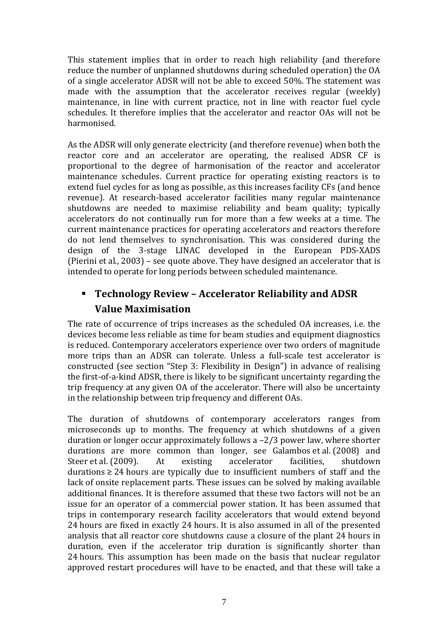This statement implies that in order to reach high reliability (and therefore reduce the number of unplanned shutdowns during scheduled operation) the OA of a single accelerator ADSR will not be able to exceed 50%. The statement was made with the assumption that the accelerator receives regular (weekly) maintenance, in line with current practice, not in line with reactor fuel cycle schedules. It therefore implies that the accelerator and reactor OAs will not be harmonised.

As the ADSR will only generate electricity (and therefore revenue) when both the reactor core and an accelerator are operating, the realised ADSR CF is proportional to the degree of harmonisation of the reactor and accelerator maintenance schedules. Current practice for operating existing reactors is to extend fuel cycles for as long as possible, as this increases facility CFs (and hence revenue). At research-based accelerator facilities many regular maintenance shutdowns are needed to maximise reliability and beam quality; typically accelerators do not continually run for more than a few weeks at a time. The current maintenance practices for operating accelerators and reactors therefore do not lend themselves to synchronisation. This was considered during the design of the 3-stage LINAC developed in the European PDS-XADS (Pierini et al., 2003) – see quote above. They have designed an accelerator that is intended to operate for long periods between scheduled maintenance.

# **Technology Review – Accelerator Reliability and ADSR Value Maximisation**

The rate of occurrence of trips increases as the scheduled OA increases, i.e. the devices become less reliable as time for beam studies and equipment diagnostics is reduced. Contemporary accelerators experience over two orders of magnitude more trips than an ADSR can tolerate. Unless a full-scale test accelerator is constructed (see section "Step 3: Flexibility in Design") in advance of realising the first-of-a-kind ADSR, there is likely to be significant uncertainty regarding the trip frequency at any given OA of the accelerator. There will also be uncertainty in the relationship between trip frequency and different OAs.

The duration of shutdowns of contemporary accelerators ranges from microseconds up to months. The frequency at which shutdowns of a given duration or longer occur approximately follows a –2/3 power law, where shorter durations are more common than longer, see Galambos et al. (2008) and Steer et al. (2009). At existing accelerator facilities, shutdown durations  $\geq$  24 hours are typically due to insufficient numbers of staff and the lack of onsite replacement parts. These issues can be solved by making available additional finances. It is therefore assumed that these two factors will not be an issue for an operator of a commercial power station. It has been assumed that trips in contemporary research facility accelerators that would extend beyond 24 hours are fixed in exactly 24 hours. It is also assumed in all of the presented analysis that all reactor core shutdowns cause a closure of the plant 24 hours in duration, even if the accelerator trip duration is significantly shorter than 24 hours. This assumption has been made on the basis that nuclear regulator approved restart procedures will have to be enacted, and that these will take a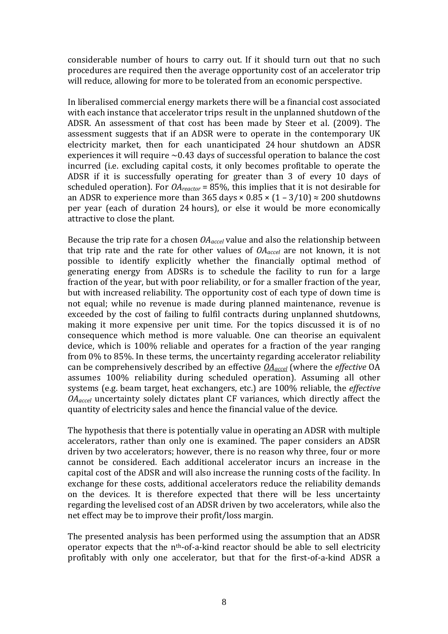considerable number of hours to carry out. If it should turn out that no such procedures are required then the average opportunity cost of an accelerator trip will reduce, allowing for more to be tolerated from an economic perspective.

In liberalised commercial energy markets there will be a financial cost associated with each instance that accelerator trips result in the unplanned shutdown of the ADSR. An assessment of that cost has been made by Steer et al. (2009). The assessment suggests that if an ADSR were to operate in the contemporary UK electricity market, then for each unanticipated 24 hour shutdown an ADSR experiences it will require  $\sim 0.43$  days of successful operation to balance the cost incurred (i.e. excluding capital costs, it only becomes profitable to operate the ADSR if it is successfully operating for greater than 3 of every 10 days of scheduled operation). For *OAreactor* = 85%, this implies that it is not desirable for an ADSR to experience more than 365 days  $\times$  0.85  $\times$  (1 – 3/10)  $\approx$  200 shutdowns per year (each of duration 24 hours), or else it would be more economically attractive to close the plant.

Because the trip rate for a chosen *OAaccel* value and also the relationship between that trip rate and the rate for other values of *OAaccel* are not known, it is not possible to identify explicitly whether the financially optimal method of generating energy from ADSRs is to schedule the facility to run for a large fraction of the year, but with poor reliability, or for a smaller fraction of the year, but with increased reliability. The opportunity cost of each type of down time is not equal; while no revenue is made during planned maintenance, revenue is exceeded by the cost of failing to fulfil contracts during unplanned shutdowns, making it more expensive per unit time. For the topics discussed it is of no consequence which method is more valuable. One can theorise an equivalent device, which is 100% reliable and operates for a fraction of the year ranging from 0% to 85%. In these terms, the uncertainty regarding accelerator reliability can be comprehensively described by an effective *OAaccel* (where the *effective* OA assumes 100% reliability during scheduled operation). Assuming all other systems (e.g. beam target, heat exchangers, etc.) are 100% reliable, the *effective OAaccel* uncertainty solely dictates plant CF variances, which directly affect the quantity of electricity sales and hence the financial value of the device.

The hypothesis that there is potentially value in operating an ADSR with multiple accelerators, rather than only one is examined. The paper considers an ADSR driven by two accelerators; however, there is no reason why three, four or more cannot be considered. Each additional accelerator incurs an increase in the capital cost of the ADSR and will also increase the running costs of the facility. In exchange for these costs, additional accelerators reduce the reliability demands on the devices. It is therefore expected that there will be less uncertainty regarding the levelised cost of an ADSR driven by two accelerators, while also the net effect may be to improve their profit/loss margin.

The presented analysis has been performed using the assumption that an ADSR operator expects that the  $n<sup>th</sup>$ -of-a-kind reactor should be able to sell electricity profitably with only one accelerator, but that for the first-of-a-kind ADSR a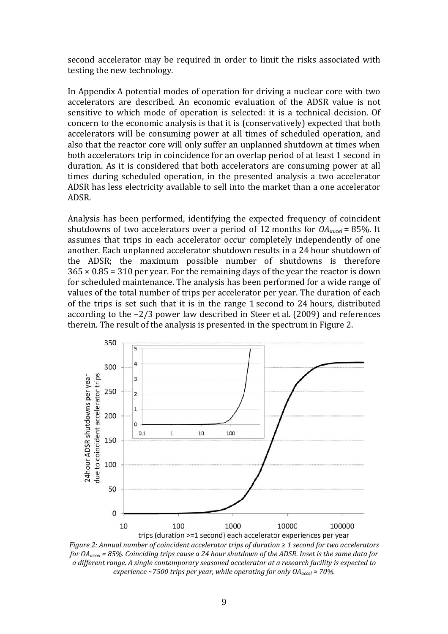second accelerator may be required in order to limit the risks associated with testing the new technology.

In Appendix A potential modes of operation for driving a nuclear core with two accelerators are described. An economic evaluation of the ADSR value is not sensitive to which mode of operation is selected: it is a technical decision. Of concern to the economic analysis is that it is (conservatively) expected that both accelerators will be consuming power at all times of scheduled operation, and also that the reactor core will only suffer an unplanned shutdown at times when both accelerators trip in coincidence for an overlap period of at least 1 second in duration. As it is considered that both accelerators are consuming power at all times during scheduled operation, in the presented analysis a two accelerator ADSR has less electricity available to sell into the market than a one accelerator ADSR.

Analysis has been performed, identifying the expected frequency of coincident shutdowns of two accelerators over a period of 12 months for *OAaccel* = 85%. It assumes that trips in each accelerator occur completely independently of one another. Each unplanned accelerator shutdown results in a 24 hour shutdown of the ADSR; the maximum possible number of shutdowns is therefore  $365 \times 0.85 = 310$  per year. For the remaining days of the year the reactor is down for scheduled maintenance. The analysis has been performed for a wide range of values of the total number of trips per accelerator per year. The duration of each of the trips is set such that it is in the range 1 second to 24 hours, distributed according to the –2/3 power law described in Steer et al. (2009) and references therein. The result of the analysis is presented in the spectrum in Figure 2.



*Figure 2: Annual number of coincident accelerator trips of duration ≥ 1 second for two accelerators for OAaccel = 85%. Coinciding trips cause a 24 hour shutdown of the ADSR. Inset is the same data for a different range. A single contemporary seasoned accelerator at a research facility is expected to experience ~7500 trips per year, while operating for only OAaccel ≈ 70%.*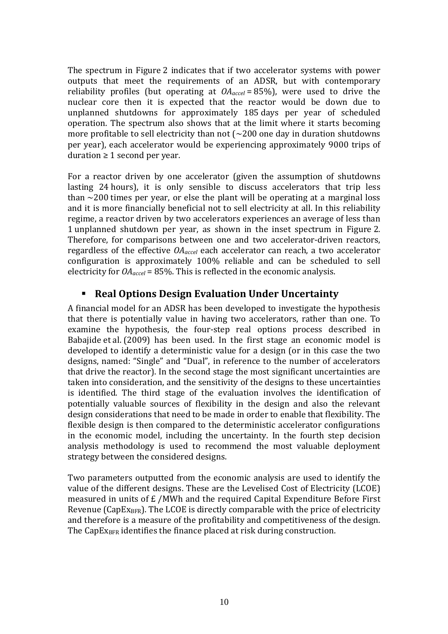The spectrum in Figure 2 indicates that if two accelerator systems with power outputs that meet the requirements of an ADSR, but with contemporary reliability profiles (but operating at *OAaccel* = 85%), were used to drive the nuclear core then it is expected that the reactor would be down due to unplanned shutdowns for approximately 185 days per year of scheduled operation. The spectrum also shows that at the limit where it starts becoming more profitable to sell electricity than not  $\sim$  200 one day in duration shutdowns per year), each accelerator would be experiencing approximately 9000 trips of duration ≥ 1 second per year.

For a reactor driven by one accelerator (given the assumption of shutdowns lasting 24 hours), it is only sensible to discuss accelerators that trip less than  $\sim$  200 times per year, or else the plant will be operating at a marginal loss and it is more financially beneficial not to sell electricity at all. In this reliability regime, a reactor driven by two accelerators experiences an average of less than 1 unplanned shutdown per year, as shown in the inset spectrum in Figure 2. Therefore, for comparisons between one and two accelerator-driven reactors, regardless of the effective *OAaccel* each accelerator can reach, a two accelerator configuration is approximately 100% reliable and can be scheduled to sell electricity for *OAaccel* = 85%. This is reflected in the economic analysis.

#### **Real Options Design Evaluation Under Uncertainty**

A financial model for an ADSR has been developed to investigate the hypothesis that there is potentially value in having two accelerators, rather than one. To examine the hypothesis, the four-step real options process described in Babajide et al. (2009) has been used. In the first stage an economic model is developed to identify a deterministic value for a design (or in this case the two designs, named: "Single" and "Dual", in reference to the number of accelerators that drive the reactor). In the second stage the most significant uncertainties are taken into consideration, and the sensitivity of the designs to these uncertainties is identified. The third stage of the evaluation involves the identification of potentially valuable sources of flexibility in the design and also the relevant design considerations that need to be made in order to enable that flexibility. The flexible design is then compared to the deterministic accelerator configurations in the economic model, including the uncertainty. In the fourth step decision analysis methodology is used to recommend the most valuable deployment strategy between the considered designs.

Two parameters outputted from the economic analysis are used to identify the value of the different designs. These are the Levelised Cost of Electricity (LCOE) measured in units of £ /MWh and the required Capital Expenditure Before First Revenue (CapExBFR). The LCOE is directly comparable with the price of electricity and therefore is a measure of the profitability and competitiveness of the design. The CapEx<sub>BFR</sub> identifies the finance placed at risk during construction.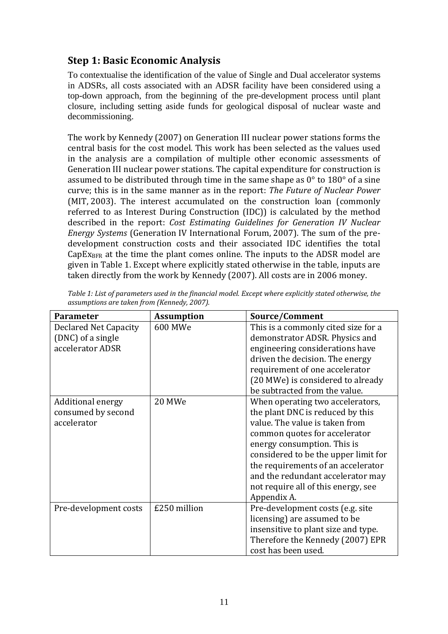## **Step 1: Basic Economic Analysis**

To contextualise the identification of the value of Single and Dual accelerator systems in ADSRs, all costs associated with an ADSR facility have been considered using a top-down approach, from the beginning of the pre-development process until plant closure, including setting aside funds for geological disposal of nuclear waste and decommissioning.

The work by Kennedy (2007) on Generation III nuclear power stations forms the central basis for the cost model. This work has been selected as the values used in the analysis are a compilation of multiple other economic assessments of Generation III nuclear power stations. The capital expenditure for construction is assumed to be distributed through time in the same shape as 0° to 180° of a sine curve; this is in the same manner as in the report: *The Future of Nuclear Power* (MIT, 2003). The interest accumulated on the construction loan (commonly referred to as Interest During Construction (IDC)) is calculated by the method described in the report: *Cost Estimating Guidelines for Generation IV Nuclear Energy Systems* (Generation IV International Forum, 2007). The sum of the predevelopment construction costs and their associated IDC identifies the total  $CapEx_{BFR}$  at the time the plant comes online. The inputs to the ADSR model are given in Table 1. Except where explicitly stated otherwise in the table, inputs are taken directly from the work by Kennedy (2007). All costs are in 2006 money.

| <b>Parameter</b>             | <b>Assumption</b> | Source/Comment                       |
|------------------------------|-------------------|--------------------------------------|
| <b>Declared Net Capacity</b> | 600 MWe           | This is a commonly cited size for a  |
| (DNC) of a single            |                   | demonstrator ADSR. Physics and       |
| accelerator ADSR             |                   | engineering considerations have      |
|                              |                   | driven the decision. The energy      |
|                              |                   | requirement of one accelerator       |
|                              |                   | (20 MWe) is considered to already    |
|                              |                   | be subtracted from the value.        |
| Additional energy            | 20 MWe            | When operating two accelerators,     |
| consumed by second           |                   | the plant DNC is reduced by this     |
| accelerator                  |                   | value. The value is taken from       |
|                              |                   | common quotes for accelerator        |
|                              |                   | energy consumption. This is          |
|                              |                   | considered to be the upper limit for |
|                              |                   | the requirements of an accelerator   |
|                              |                   | and the redundant accelerator may    |
|                              |                   | not require all of this energy, see  |
|                              |                   | Appendix A.                          |
| Pre-development costs        | £250 million      | Pre-development costs (e.g. site     |
|                              |                   | licensing) are assumed to be         |
|                              |                   | insensitive to plant size and type.  |
|                              |                   | Therefore the Kennedy (2007) EPR     |
|                              |                   | cost has been used.                  |

*Table 1: List of parameters used in the financial model. Except where explicitly stated otherwise, the assumptions are taken from (Kennedy, 2007).*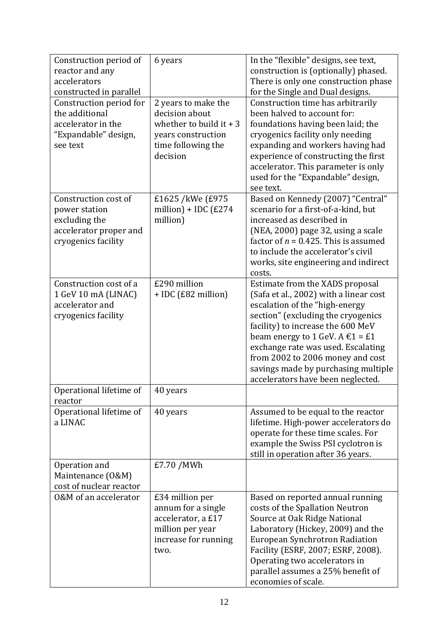| Construction period of  | 6 years                  | In the "flexible" designs, see text,                                    |
|-------------------------|--------------------------|-------------------------------------------------------------------------|
| reactor and any         |                          | construction is (optionally) phased.                                    |
| accelerators            |                          | There is only one construction phase                                    |
| constructed in parallel |                          | for the Single and Dual designs.                                        |
| Construction period for | 2 years to make the      | Construction time has arbitrarily                                       |
| the additional          | decision about           | been halved to account for:                                             |
| accelerator in the      | whether to build it $+3$ | foundations having been laid; the                                       |
| "Expandable" design,    | years construction       | cryogenics facility only needing                                        |
| see text                | time following the       | expanding and workers having had                                        |
|                         | decision                 | experience of constructing the first                                    |
|                         |                          | accelerator. This parameter is only                                     |
|                         |                          | used for the "Expandable" design,                                       |
|                         |                          | see text.                                                               |
| Construction cost of    | £1625 /kWe (£975         | Based on Kennedy (2007) "Central"                                       |
| power station           | million) + IDC $(E274)$  | scenario for a first-of-a-kind, but                                     |
| excluding the           | million)                 | increased as described in                                               |
| accelerator proper and  |                          | (NEA, 2000) page 32, using a scale                                      |
| cryogenics facility     |                          | factor of $n = 0.425$ . This is assumed                                 |
|                         |                          | to include the accelerator's civil                                      |
|                         |                          | works, site engineering and indirect                                    |
|                         |                          | costs.                                                                  |
| Construction cost of a  | £290 million             | Estimate from the XADS proposal                                         |
| 1 GeV 10 mA (LINAC)     | + IDC (£82 million)      | (Safa et al., 2002) with a linear cost                                  |
| accelerator and         |                          | escalation of the "high-energy                                          |
| cryogenics facility     |                          | section" (excluding the cryogenics                                      |
|                         |                          | facility) to increase the 600 MeV                                       |
|                         |                          | beam energy to 1 GeV. A $\text{\textsterling}1 = \text{\textsterling}1$ |
|                         |                          | exchange rate was used. Escalating                                      |
|                         |                          | from 2002 to 2006 money and cost                                        |
|                         |                          | savings made by purchasing multiple                                     |
|                         |                          | accelerators have been neglected.                                       |
| Operational lifetime of | 40 years                 |                                                                         |
| reactor                 |                          |                                                                         |
| Operational lifetime of | 40 years                 | Assumed to be equal to the reactor                                      |
| a LINAC                 |                          | lifetime. High-power accelerators do                                    |
|                         |                          | operate for these time scales. For                                      |
|                         |                          | example the Swiss PSI cyclotron is                                      |
|                         |                          | still in operation after 36 years.                                      |
| Operation and           | £7.70 / MWh              |                                                                         |
| Maintenance (O&M)       |                          |                                                                         |
| cost of nuclear reactor |                          |                                                                         |
| 0&M of an accelerator   | £34 million per          | Based on reported annual running                                        |
|                         | annum for a single       | costs of the Spallation Neutron                                         |
|                         | accelerator, a £17       | Source at Oak Ridge National                                            |
|                         | million per year         | Laboratory (Hickey, 2009) and the                                       |
|                         | increase for running     | European Synchrotron Radiation                                          |
|                         | two.                     | Facility (ESRF, 2007; ESRF, 2008).                                      |
|                         |                          | Operating two accelerators in                                           |
|                         |                          | parallel assumes a 25% benefit of                                       |
|                         |                          | economies of scale.                                                     |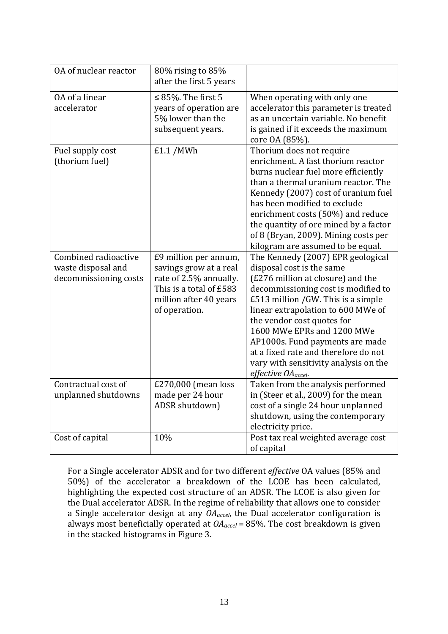| OA of nuclear reactor                                               | 80% rising to 85%<br>after the first 5 years                                                                                                    |                                                                                                                                                                                                                                                                                                                                                                                                                                            |
|---------------------------------------------------------------------|-------------------------------------------------------------------------------------------------------------------------------------------------|--------------------------------------------------------------------------------------------------------------------------------------------------------------------------------------------------------------------------------------------------------------------------------------------------------------------------------------------------------------------------------------------------------------------------------------------|
| OA of a linear<br>accelerator                                       | $\leq$ 85%. The first 5<br>years of operation are<br>5% lower than the<br>subsequent years.                                                     | When operating with only one<br>accelerator this parameter is treated<br>as an uncertain variable. No benefit<br>is gained if it exceeds the maximum<br>core 0A (85%).                                                                                                                                                                                                                                                                     |
| Fuel supply cost<br>(thorium fuel)                                  | £1.1 /MWh                                                                                                                                       | Thorium does not require<br>enrichment. A fast thorium reactor<br>burns nuclear fuel more efficiently<br>than a thermal uranium reactor. The<br>Kennedy (2007) cost of uranium fuel<br>has been modified to exclude<br>enrichment costs (50%) and reduce<br>the quantity of ore mined by a factor<br>of 8 (Bryan, 2009). Mining costs per<br>kilogram are assumed to be equal.                                                             |
| Combined radioactive<br>waste disposal and<br>decommissioning costs | £9 million per annum,<br>savings grow at a real<br>rate of 2.5% annually.<br>This is a total of £583<br>million after 40 years<br>of operation. | The Kennedy (2007) EPR geological<br>disposal cost is the same<br>(£276 million at closure) and the<br>decommissioning cost is modified to<br>£513 million / GW. This is a simple<br>linear extrapolation to 600 MWe of<br>the vendor cost quotes for<br>1600 MWe EPRs and 1200 MWe<br>AP1000s. Fund payments are made<br>at a fixed rate and therefore do not<br>vary with sensitivity analysis on the<br>effective OA <sub>accel</sub> . |
| Contractual cost of<br>unplanned shutdowns                          | £270,000 (mean loss<br>made per 24 hour<br>ADSR shutdown)                                                                                       | Taken from the analysis performed<br>in (Steer et al., 2009) for the mean<br>cost of a single 24 hour unplanned<br>shutdown, using the contemporary<br>electricity price.                                                                                                                                                                                                                                                                  |
| Cost of capital                                                     | 10%                                                                                                                                             | Post tax real weighted average cost<br>of capital                                                                                                                                                                                                                                                                                                                                                                                          |

For a Single accelerator ADSR and for two different *effective* OA values (85% and 50%) of the accelerator a breakdown of the LCOE has been calculated, highlighting the expected cost structure of an ADSR. The LCOE is also given for the Dual accelerator ADSR. In the regime of reliability that allows one to consider a Single accelerator design at any *OAaccel*, the Dual accelerator configuration is always most beneficially operated at *OAaccel* = 85%. The cost breakdown is given in the stacked histograms in Figure 3.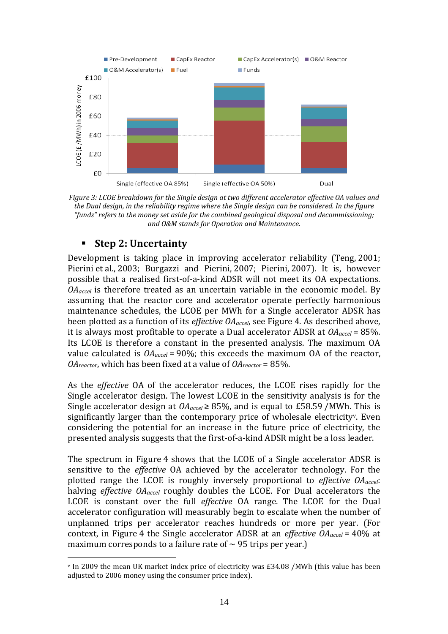

*Figure 3: LCOE breakdown for the Single design at two different accelerator effective OA values and the Dual design, in the reliability regime where the Single design can be considered. In the figure "funds" refers to the money set aside for the combined geological disposal and decommissioning; and O&M stands for Operation and Maintenance.* 

#### **Step 2: Uncertainty**

 $\overline{a}$ 

Development is taking place in improving accelerator reliability (Teng, 2001; Pierini et al., 2003; Burgazzi and Pierini, 2007; Pierini, 2007). It is, however possible that a realised first-of-a-kind ADSR will not meet its OA expectations. *OA<sub>accel</sub>* is therefore treated as an uncertain variable in the economic model. By assuming that the reactor core and accelerator operate perfectly harmonious maintenance schedules, the LCOE per MWh for a Single accelerator ADSR has been plotted as a function of its *effective OAaccel*, see Figure 4. As described above, it is always most profitable to operate a Dual accelerator ADSR at *OAaccel* = 85%. Its LCOE is therefore a constant in the presented analysis. The maximum OA value calculated is *OAaccel* = 90%; this exceeds the maximum OA of the reactor, *OAreactor*, which has been fixed at a value of *OAreactor* = 85%.

As the *effective* OA of the accelerator reduces, the LCOE rises rapidly for the Single accelerator design. The lowest LCOE in the sensitivity analysis is for the Single accelerator design at  $OA_{accel} \geq 85\%$ , and is equal to £58.59 /MWh. This is significantly larger than the contemporary price of wholesale electricity<sup>y</sup>. Even considering the potential for an increase in the future price of electricity, the presented analysis suggests that the first-of-a-kind ADSR might be a loss leader.

The spectrum in Figure 4 shows that the LCOE of a Single accelerator ADSR is sensitive to the *effective* OA achieved by the accelerator technology. For the plotted range the LCOE is roughly inversely proportional to *effective OAaccel*: halving *effective OAaccel* roughly doubles the LCOE. For Dual accelerators the LCOE is constant over the full *effective* OA range. The LCOE for the Dual accelerator configuration will measurably begin to escalate when the number of unplanned trips per accelerator reaches hundreds or more per year. (For context, in Figure 4 the Single accelerator ADSR at an *effective OAaccel* = 40% at maximum corresponds to a failure rate of  $\sim$  95 trips per year.)

v In 2009 the mean UK market index price of electricity was £34.08 /MWh (this value has been adjusted to 2006 money using the consumer price index).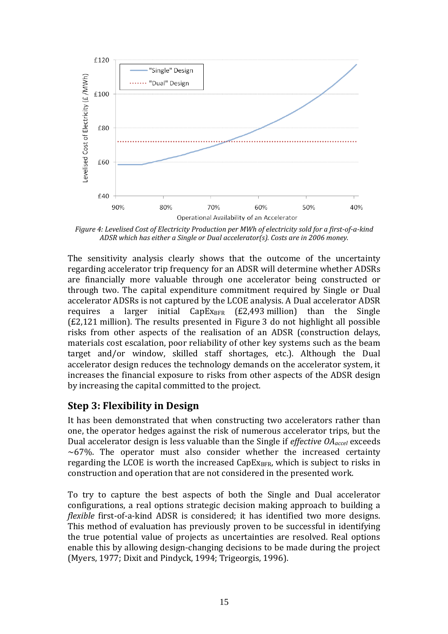

*Figure 4: Levelised Cost of Electricity Production per MWh of electricity sold for a first-of-a-kind ADSR which has either a Single or Dual accelerator(s). Costs are in 2006 money.* 

The sensitivity analysis clearly shows that the outcome of the uncertainty regarding accelerator trip frequency for an ADSR will determine whether ADSRs are financially more valuable through one accelerator being constructed or through two. The capital expenditure commitment required by Single or Dual accelerator ADSRs is not captured by the LCOE analysis. A Dual accelerator ADSR requires a larger initial  $CapEx_{BFR}$  (£2,493 million) than the Single (£2,121 million). The results presented in Figure 3 do not highlight all possible risks from other aspects of the realisation of an ADSR (construction delays, materials cost escalation, poor reliability of other key systems such as the beam target and/or window, skilled staff shortages, etc.). Although the Dual accelerator design reduces the technology demands on the accelerator system, it increases the financial exposure to risks from other aspects of the ADSR design by increasing the capital committed to the project.

#### **Step 3: Flexibility in Design**

It has been demonstrated that when constructing two accelerators rather than one, the operator hedges against the risk of numerous accelerator trips, but the Dual accelerator design is less valuable than the Single if *effective OAaccel* exceeds  $\sim$  67%. The operator must also consider whether the increased certainty regarding the LCOE is worth the increased Cap $Ex_{BFR}$ , which is subject to risks in construction and operation that are not considered in the presented work.

To try to capture the best aspects of both the Single and Dual accelerator configurations, a real options strategic decision making approach to building a *flexible* first-of-a-kind ADSR is considered; it has identified two more designs. This method of evaluation has previously proven to be successful in identifying the true potential value of projects as uncertainties are resolved. Real options enable this by allowing design-changing decisions to be made during the project (Myers, 1977; Dixit and Pindyck, 1994; Trigeorgis, 1996).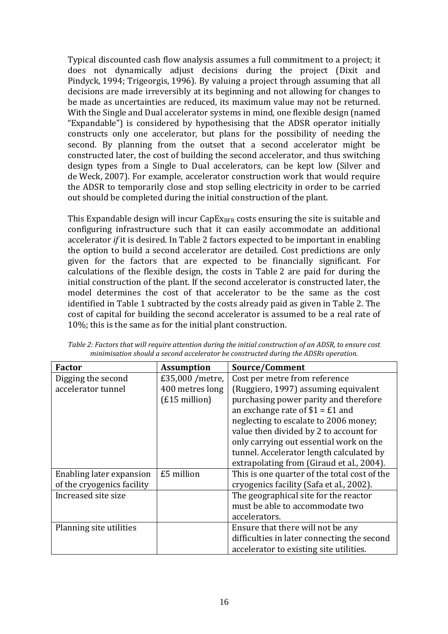Typical discounted cash flow analysis assumes a full commitment to a project; it does not dynamically adjust decisions during the project (Dixit and Pindyck, 1994; Trigeorgis, 1996). By valuing a project through assuming that all decisions are made irreversibly at its beginning and not allowing for changes to be made as uncertainties are reduced, its maximum value may not be returned. With the Single and Dual accelerator systems in mind, one flexible design (named "Expandable") is considered by hypothesising that the ADSR operator initially constructs only one accelerator, but plans for the possibility of needing the second. By planning from the outset that a second accelerator might be constructed later, the cost of building the second accelerator, and thus switching design types from a Single to Dual accelerators, can be kept low (Silver and de Weck, 2007). For example, accelerator construction work that would require the ADSR to temporarily close and stop selling electricity in order to be carried out should be completed during the initial construction of the plant.

This Expandable design will incur  $CapExp_{R}$  costs ensuring the site is suitable and configuring infrastructure such that it can easily accommodate an additional accelerator *if* it is desired. In Table 2 factors expected to be important in enabling the option to build a second accelerator are detailed. Cost predictions are only given for the factors that are expected to be financially significant. For calculations of the flexible design, the costs in Table 2 are paid for during the initial construction of the plant. If the second accelerator is constructed later, the model determines the cost of that accelerator to be the same as the cost identified in Table 1 subtracted by the costs already paid as given in Table 2. The cost of capital for building the second accelerator is assumed to be a real rate of 10%; this is the same as for the initial plant construction.

| <b>Factor</b>              | <b>Assumption</b>                  | Source/Comment                                                                                                                                                                                                                                                                                                                            |
|----------------------------|------------------------------------|-------------------------------------------------------------------------------------------------------------------------------------------------------------------------------------------------------------------------------------------------------------------------------------------------------------------------------------------|
| Digging the second         | £35,000 / metre,                   | Cost per metre from reference                                                                                                                                                                                                                                                                                                             |
| accelerator tunnel         | 400 metres long<br>$(E15$ million) | (Ruggiero, 1997) assuming equivalent<br>purchasing power parity and therefore<br>an exchange rate of $$1 = £1$ and<br>neglecting to escalate to 2006 money;<br>value then divided by 2 to account for<br>only carrying out essential work on the<br>tunnel. Accelerator length calculated by<br>extrapolating from (Giraud et al., 2004). |
| Enabling later expansion   | £5 million                         | This is one quarter of the total cost of the                                                                                                                                                                                                                                                                                              |
| of the cryogenics facility |                                    | cryogenics facility (Safa et al., 2002).                                                                                                                                                                                                                                                                                                  |
| Increased site size        |                                    | The geographical site for the reactor<br>must be able to accommodate two<br>accelerators.                                                                                                                                                                                                                                                 |
| Planning site utilities    |                                    | Ensure that there will not be any<br>difficulties in later connecting the second<br>accelerator to existing site utilities.                                                                                                                                                                                                               |

*Table 2: Factors that will require attention during the initial construction of an ADSR, to ensure cost minimisation should a second accelerator be constructed during the ADSRs operation.*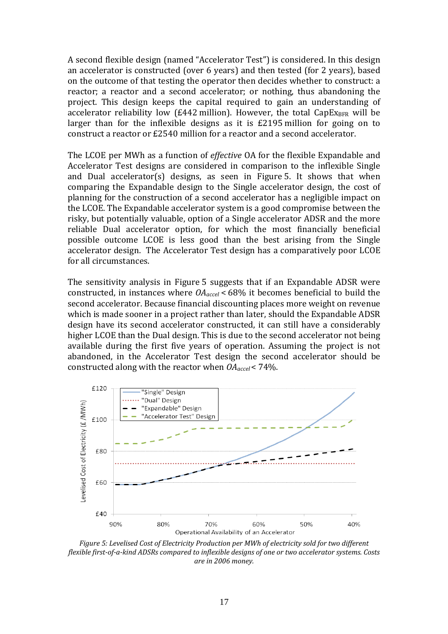A second flexible design (named "Accelerator Test") is considered. In this design an accelerator is constructed (over 6 years) and then tested (for 2 years), based on the outcome of that testing the operator then decides whether to construct: a reactor; a reactor and a second accelerator; or nothing, thus abandoning the project. This design keeps the capital required to gain an understanding of accelerator reliability low ( $E442$  million). However, the total CapEx<sub>BFR</sub> will be larger than for the inflexible designs as it is £2195 million for going on to construct a reactor or £2540 million for a reactor and a second accelerator.

The LCOE per MWh as a function of *effective* OA for the flexible Expandable and Accelerator Test designs are considered in comparison to the inflexible Single and Dual accelerator(s) designs, as seen in Figure 5. It shows that when comparing the Expandable design to the Single accelerator design, the cost of planning for the construction of a second accelerator has a negligible impact on the LCOE. The Expandable accelerator system is a good compromise between the risky, but potentially valuable, option of a Single accelerator ADSR and the more reliable Dual accelerator option, for which the most financially beneficial possible outcome LCOE is less good than the best arising from the Single accelerator design. The Accelerator Test design has a comparatively poor LCOE for all circumstances.

The sensitivity analysis in Figure 5 suggests that if an Expandable ADSR were constructed, in instances where *OAaccel* < 68% it becomes beneficial to build the second accelerator. Because financial discounting places more weight on revenue which is made sooner in a project rather than later, should the Expandable ADSR design have its second accelerator constructed, it can still have a considerably higher LCOE than the Dual design. This is due to the second accelerator not being available during the first five years of operation. Assuming the project is not abandoned, in the Accelerator Test design the second accelerator should be constructed along with the reactor when *OAaccel* < 74%.



*Figure 5: Levelised Cost of Electricity Production per MWh of electricity sold for two different flexible first-of-a-kind ADSRs compared to inflexible designs of one or two accelerator systems. Costs are in 2006 money.*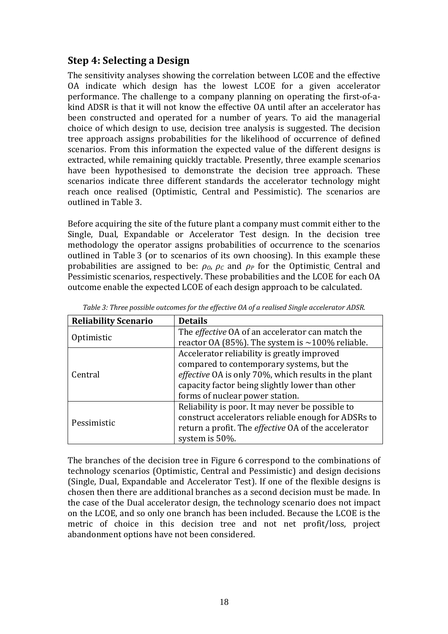#### **Step 4: Selecting a Design**

The sensitivity analyses showing the correlation between LCOE and the effective OA indicate which design has the lowest LCOE for a given accelerator performance. The challenge to a company planning on operating the first-of-akind ADSR is that it will not know the effective OA until after an accelerator has been constructed and operated for a number of years. To aid the managerial choice of which design to use, decision tree analysis is suggested. The decision tree approach assigns probabilities for the likelihood of occurrence of defined scenarios. From this information the expected value of the different designs is extracted, while remaining quickly tractable. Presently, three example scenarios have been hypothesised to demonstrate the decision tree approach. These scenarios indicate three different standards the accelerator technology might reach once realised (Optimistic, Central and Pessimistic). The scenarios are outlined in Table 3.

Before acquiring the site of the future plant a company must commit either to the Single, Dual, Expandable or Accelerator Test design. In the decision tree methodology the operator assigns probabilities of occurrence to the scenarios outlined in Table 3 (or to scenarios of its own choosing). In this example these probabilities are assigned to be:  $\rho_0$ ,  $\rho_c$  and  $\rho_p$  for the Optimistic, Central and Pessimistic scenarios, respectively. These probabilities and the LCOE for each OA outcome enable the expected LCOE of each design approach to be calculated.

| <b>Reliability Scenario</b> | <b>Details</b>                                              |
|-----------------------------|-------------------------------------------------------------|
| Optimistic                  | The effective OA of an accelerator can match the            |
|                             | reactor 0A (85%). The system is $\sim$ 100% reliable.       |
| Central                     | Accelerator reliability is greatly improved                 |
|                             | compared to contemporary systems, but the                   |
|                             | effective OA is only 70%, which results in the plant        |
|                             | capacity factor being slightly lower than other             |
|                             | forms of nuclear power station.                             |
| Pessimistic                 | Reliability is poor. It may never be possible to            |
|                             | construct accelerators reliable enough for ADSRs to         |
|                             | return a profit. The <i>effective</i> OA of the accelerator |
|                             | system is 50%.                                              |

*Table 3: Three possible outcomes for the effective OA of a realised Single accelerator ADSR.* 

The branches of the decision tree in Figure 6 correspond to the combinations of technology scenarios (Optimistic, Central and Pessimistic) and design decisions (Single, Dual, Expandable and Accelerator Test). If one of the flexible designs is chosen then there are additional branches as a second decision must be made. In the case of the Dual accelerator design, the technology scenario does not impact on the LCOE, and so only one branch has been included. Because the LCOE is the metric of choice in this decision tree and not net profit/loss, project abandonment options have not been considered.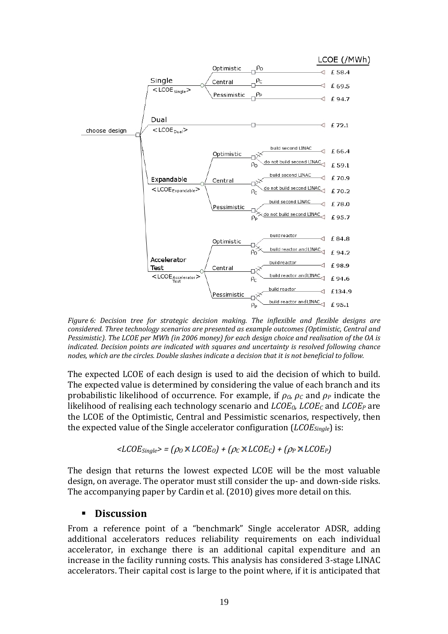

*Figure 6: Decision tree for strategic decision making. The inflexible and flexible designs are considered. Three technology scenarios are presented as example outcomes (Optimistic, Central and Pessimistic). The LCOE per MWh (in 2006 money) for each design choice and realisation of the OA is indicated. Decision points are indicated with squares and uncertainty is resolved following chance nodes, which are the circles. Double slashes indicate a decision that it is not beneficial to follow.* 

The expected LCOE of each design is used to aid the decision of which to build. The expected value is determined by considering the value of each branch and its probabilistic likelihood of occurrence. For example, if  $\rho_0$ ,  $\rho_c$  and  $\rho_p$  indicate the likelihood of realising each technology scenario and *LCOE<sub>0</sub>*, *LCOE<sub>C</sub>* and *LCOE<sub>P</sub>* are the LCOE of the Optimistic, Central and Pessimistic scenarios, respectively, then the expected value of the Single accelerator configuration (*LCOESingle*) is:

$$
\langle LCOE_{Single} \rangle = (\rho_0 \times LCOE_0) + (\rho_C \times LCOE_C) + (\rho_P \times LCOE_P)
$$

The design that returns the lowest expected LCOE will be the most valuable design, on average. The operator must still consider the up- and down-side risks. The accompanying paper by Cardin et al. (2010) gives more detail on this.

#### **Discussion**

From a reference point of a "benchmark" Single accelerator ADSR, adding additional accelerators reduces reliability requirements on each individual accelerator, in exchange there is an additional capital expenditure and an increase in the facility running costs. This analysis has considered 3-stage LINAC accelerators. Their capital cost is large to the point where, if it is anticipated that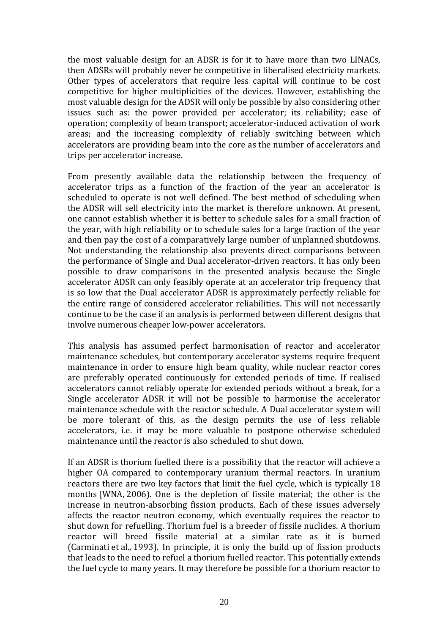the most valuable design for an ADSR is for it to have more than two LINACs, then ADSRs will probably never be competitive in liberalised electricity markets. Other types of accelerators that require less capital will continue to be cost competitive for higher multiplicities of the devices. However, establishing the most valuable design for the ADSR will only be possible by also considering other issues such as: the power provided per accelerator; its reliability; ease of operation; complexity of beam transport; accelerator-induced activation of work areas; and the increasing complexity of reliably switching between which accelerators are providing beam into the core as the number of accelerators and trips per accelerator increase.

From presently available data the relationship between the frequency of accelerator trips as a function of the fraction of the year an accelerator is scheduled to operate is not well defined. The best method of scheduling when the ADSR will sell electricity into the market is therefore unknown. At present, one cannot establish whether it is better to schedule sales for a small fraction of the year, with high reliability or to schedule sales for a large fraction of the year and then pay the cost of a comparatively large number of unplanned shutdowns. Not understanding the relationship also prevents direct comparisons between the performance of Single and Dual accelerator-driven reactors. It has only been possible to draw comparisons in the presented analysis because the Single accelerator ADSR can only feasibly operate at an accelerator trip frequency that is so low that the Dual accelerator ADSR is approximately perfectly reliable for the entire range of considered accelerator reliabilities. This will not necessarily continue to be the case if an analysis is performed between different designs that involve numerous cheaper low-power accelerators.

This analysis has assumed perfect harmonisation of reactor and accelerator maintenance schedules, but contemporary accelerator systems require frequent maintenance in order to ensure high beam quality, while nuclear reactor cores are preferably operated continuously for extended periods of time. If realised accelerators cannot reliably operate for extended periods without a break, for a Single accelerator ADSR it will not be possible to harmonise the accelerator maintenance schedule with the reactor schedule. A Dual accelerator system will be more tolerant of this, as the design permits the use of less reliable accelerators, i.e. it may be more valuable to postpone otherwise scheduled maintenance until the reactor is also scheduled to shut down.

If an ADSR is thorium fuelled there is a possibility that the reactor will achieve a higher OA compared to contemporary uranium thermal reactors. In uranium reactors there are two key factors that limit the fuel cycle, which is typically 18 months (WNA, 2006). One is the depletion of fissile material; the other is the increase in neutron-absorbing fission products. Each of these issues adversely affects the reactor neutron economy, which eventually requires the reactor to shut down for refuelling. Thorium fuel is a breeder of fissile nuclides. A thorium reactor will breed fissile material at a similar rate as it is burned (Carminati et al., 1993). In principle, it is only the build up of fission products that leads to the need to refuel a thorium fuelled reactor. This potentially extends the fuel cycle to many years. It may therefore be possible for a thorium reactor to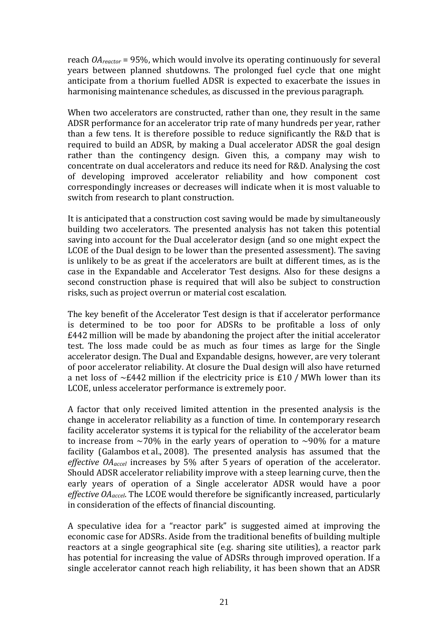reach *OAreactor* = 95%, which would involve its operating continuously for several years between planned shutdowns. The prolonged fuel cycle that one might anticipate from a thorium fuelled ADSR is expected to exacerbate the issues in harmonising maintenance schedules, as discussed in the previous paragraph.

When two accelerators are constructed, rather than one, they result in the same ADSR performance for an accelerator trip rate of many hundreds per year, rather than a few tens. It is therefore possible to reduce significantly the R&D that is required to build an ADSR, by making a Dual accelerator ADSR the goal design rather than the contingency design. Given this, a company may wish to concentrate on dual accelerators and reduce its need for R&D. Analysing the cost of developing improved accelerator reliability and how component cost correspondingly increases or decreases will indicate when it is most valuable to switch from research to plant construction.

It is anticipated that a construction cost saving would be made by simultaneously building two accelerators. The presented analysis has not taken this potential saving into account for the Dual accelerator design (and so one might expect the LCOE of the Dual design to be lower than the presented assessment). The saving is unlikely to be as great if the accelerators are built at different times, as is the case in the Expandable and Accelerator Test designs. Also for these designs a second construction phase is required that will also be subject to construction risks, such as project overrun or material cost escalation.

The key benefit of the Accelerator Test design is that if accelerator performance is determined to be too poor for ADSRs to be profitable a loss of only £442 million will be made by abandoning the project after the initial accelerator test. The loss made could be as much as four times as large for the Single accelerator design. The Dual and Expandable designs, however, are very tolerant of poor accelerator reliability. At closure the Dual design will also have returned a net loss of  $\sim$  £442 million if the electricity price is £10 / MWh lower than its LCOE, unless accelerator performance is extremely poor.

A factor that only received limited attention in the presented analysis is the change in accelerator reliability as a function of time. In contemporary research facility accelerator systems it is typical for the reliability of the accelerator beam to increase from  $\sim$ 70% in the early vears of operation to  $\sim$ 90% for a mature facility (Galambos et al., 2008). The presented analysis has assumed that the *effective OAaccel* increases by 5% after 5 years of operation of the accelerator. Should ADSR accelerator reliability improve with a steep learning curve, then the early years of operation of a Single accelerator ADSR would have a poor *effective OAaccel*. The LCOE would therefore be significantly increased, particularly in consideration of the effects of financial discounting.

A speculative idea for a "reactor park" is suggested aimed at improving the economic case for ADSRs. Aside from the traditional benefits of building multiple reactors at a single geographical site (e.g. sharing site utilities), a reactor park has potential for increasing the value of ADSRs through improved operation. If a single accelerator cannot reach high reliability, it has been shown that an ADSR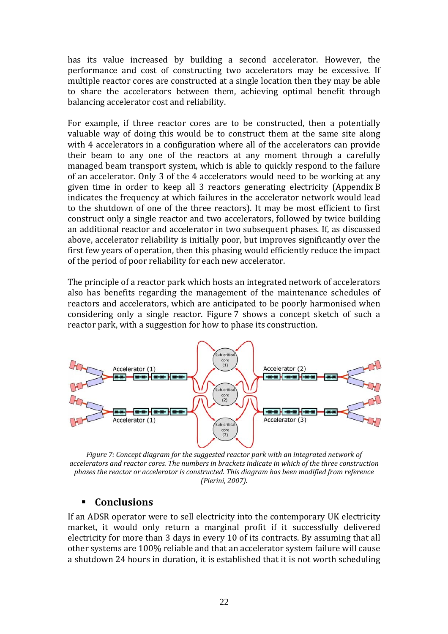has its value increased by building a second accelerator. However, the performance and cost of constructing two accelerators may be excessive. If multiple reactor cores are constructed at a single location then they may be able to share the accelerators between them, achieving optimal benefit through balancing accelerator cost and reliability.

For example, if three reactor cores are to be constructed, then a potentially valuable way of doing this would be to construct them at the same site along with 4 accelerators in a configuration where all of the accelerators can provide their beam to any one of the reactors at any moment through a carefully managed beam transport system, which is able to quickly respond to the failure of an accelerator. Only 3 of the 4 accelerators would need to be working at any given time in order to keep all 3 reactors generating electricity (Appendix B indicates the frequency at which failures in the accelerator network would lead to the shutdown of one of the three reactors). It may be most efficient to first construct only a single reactor and two accelerators, followed by twice building an additional reactor and accelerator in two subsequent phases. If, as discussed above, accelerator reliability is initially poor, but improves significantly over the first few years of operation, then this phasing would efficiently reduce the impact of the period of poor reliability for each new accelerator.

The principle of a reactor park which hosts an integrated network of accelerators also has benefits regarding the management of the maintenance schedules of reactors and accelerators, which are anticipated to be poorly harmonised when considering only a single reactor. Figure 7 shows a concept sketch of such a reactor park, with a suggestion for how to phase its construction.



*Figure 7: Concept diagram for the suggested reactor park with an integrated network of accelerators and reactor cores. The numbers in brackets indicate in which of the three construction phases the reactor or accelerator is constructed. This diagram has been modified from reference (Pierini, 2007).* 

## **Conclusions**

If an ADSR operator were to sell electricity into the contemporary UK electricity market, it would only return a marginal profit if it successfully delivered electricity for more than 3 days in every 10 of its contracts. By assuming that all other systems are 100% reliable and that an accelerator system failure will cause a shutdown 24 hours in duration, it is established that it is not worth scheduling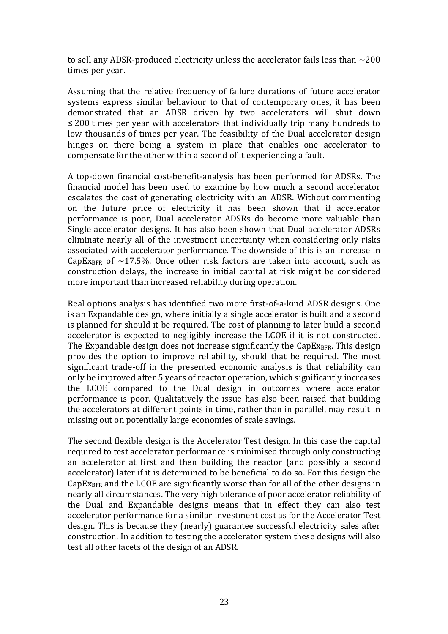to sell any ADSR-produced electricity unless the accelerator fails less than  $\sim$ 200 times per year.

Assuming that the relative frequency of failure durations of future accelerator systems express similar behaviour to that of contemporary ones, it has been demonstrated that an ADSR driven by two accelerators will shut down ≤ 200 times per year with accelerators that individually trip many hundreds to low thousands of times per year. The feasibility of the Dual accelerator design hinges on there being a system in place that enables one accelerator to compensate for the other within a second of it experiencing a fault.

A top-down financial cost-benefit-analysis has been performed for ADSRs. The financial model has been used to examine by how much a second accelerator escalates the cost of generating electricity with an ADSR. Without commenting on the future price of electricity it has been shown that if accelerator performance is poor, Dual accelerator ADSRs do become more valuable than Single accelerator designs. It has also been shown that Dual accelerator ADSRs eliminate nearly all of the investment uncertainty when considering only risks associated with accelerator performance. The downside of this is an increase in CapEx<sub>BFR</sub> of  $\sim$ 17.5%. Once other risk factors are taken into account, such as construction delays, the increase in initial capital at risk might be considered more important than increased reliability during operation.

Real options analysis has identified two more first-of-a-kind ADSR designs. One is an Expandable design, where initially a single accelerator is built and a second is planned for should it be required. The cost of planning to later build a second accelerator is expected to negligibly increase the LCOE if it is not constructed. The Expandable design does not increase significantly the CapEx<sub>BFR</sub>. This design provides the option to improve reliability, should that be required. The most significant trade-off in the presented economic analysis is that reliability can only be improved after 5 years of reactor operation, which significantly increases the LCOE compared to the Dual design in outcomes where accelerator performance is poor. Qualitatively the issue has also been raised that building the accelerators at different points in time, rather than in parallel, may result in missing out on potentially large economies of scale savings.

The second flexible design is the Accelerator Test design. In this case the capital required to test accelerator performance is minimised through only constructing an accelerator at first and then building the reactor (and possibly a second accelerator) later if it is determined to be beneficial to do so. For this design the  $CapEx_{BFR}$  and the LCOE are significantly worse than for all of the other designs in nearly all circumstances. The very high tolerance of poor accelerator reliability of the Dual and Expandable designs means that in effect they can also test accelerator performance for a similar investment cost as for the Accelerator Test design. This is because they (nearly) guarantee successful electricity sales after construction. In addition to testing the accelerator system these designs will also test all other facets of the design of an ADSR.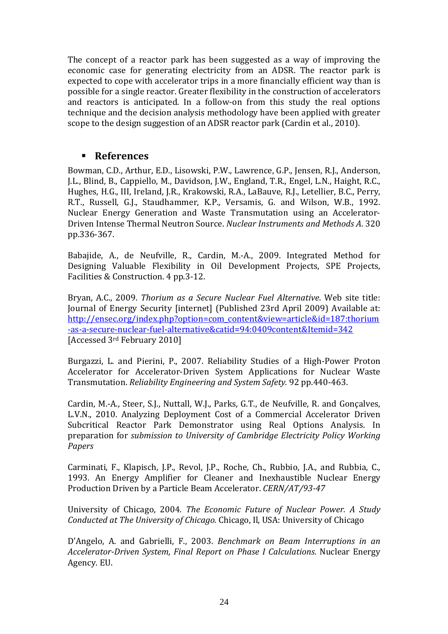The concept of a reactor park has been suggested as a way of improving the economic case for generating electricity from an ADSR. The reactor park is expected to cope with accelerator trips in a more financially efficient way than is possible for a single reactor. Greater flexibility in the construction of accelerators and reactors is anticipated. In a follow-on from this study the real options technique and the decision analysis methodology have been applied with greater scope to the design suggestion of an ADSR reactor park (Cardin et al., 2010).

#### **References**

Bowman, C.D., Arthur, E.D., Lisowski, P.W., Lawrence, G.P., Jensen, R.J., Anderson, J.L., Blind, B., Cappiello, M., Davidson, J.W., England, T.R., Engel, L.N., Haight, R.C., Hughes, H.G., III, Ireland, J.R., Krakowski, R.A., LaBauve, R.J., Letellier, B.C., Perry, R.T., Russell, G.J., Staudhammer, K.P., Versamis, G. and Wilson, W.B., 1992. Nuclear Energy Generation and Waste Transmutation using an Accelerator-Driven Intense Thermal Neutron Source. *Nuclear Instruments and Methods A*. 320 pp.336-367.

Babajide, A., de Neufville, R., Cardin, M.-A., 2009. Integrated Method for Designing Valuable Flexibility in Oil Development Projects, SPE Projects, Facilities & Construction. 4 pp.3-12.

Bryan, A.C., 2009. *Thorium as a Secure Nuclear Fuel Alternative*. Web site title: Journal of Energy Security [internet] (Published 23rd April 2009) Available at: http://ensec.org/index.php?option=com\_content&view=article&id=187:thorium -as-a-secure-nuclear-fuel-alternative&catid=94:0409content&Itemid=342 [Accessed 3rd February 2010]

Burgazzi, L. and Pierini, P., 2007. Reliability Studies of a High-Power Proton Accelerator for Accelerator-Driven System Applications for Nuclear Waste Transmutation. *Reliability Engineering and System Safety.* 92 pp.440-463.

Cardin, M.-A., Steer, S.J., Nuttall, W.J., Parks, G.T., de Neufville, R. and Gonçalves, L.V.N., 2010. Analyzing Deployment Cost of a Commercial Accelerator Driven Subcritical Reactor Park Demonstrator using Real Options Analysis. In preparation for *submission to University of Cambridge Electricity Policy Working Papers* 

Carminati, F., Klapisch, J.P., Revol, J.P., Roche, Ch., Rubbio, J.A., and Rubbia, C., 1993. An Energy Amplifier for Cleaner and Inexhaustible Nuclear Energy Production Driven by a Particle Beam Accelerator. *CERN/AT/93-47* 

University of Chicago, 2004. *The Economic Future of Nuclear Power. A Study Conducted at The University of Chicago.* Chicago, Il, USA: University of Chicago

D'Angelo, A. and Gabrielli, F., 2003. *Benchmark on Beam Interruptions in an Accelerator-Driven System, Final Report on Phase I Calculations*. Nuclear Energy Agency. EU.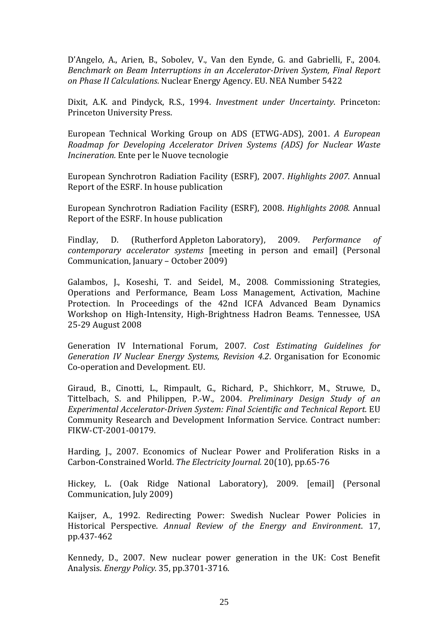D'Angelo, A., Arien, B., Sobolev, V., Van den Eynde, G. and Gabrielli, F., 2004. *Benchmark on Beam Interruptions in an Accelerator-Driven System, Final Report on Phase II Calculations*. Nuclear Energy Agency. EU. NEA Number 5422

Dixit, A.K. and Pindyck, R.S., 1994. *Investment under Uncertainty*. Princeton: Princeton University Press.

European Technical Working Group on ADS (ETWG-ADS), 2001. *A European Roadmap for Developing Accelerator Driven Systems (ADS) for Nuclear Waste Incineration.* Ente per le Nuove tecnologie

European Synchrotron Radiation Facility (ESRF), 2007. *Highlights 2007*. Annual Report of the ESRF. In house publication

European Synchrotron Radiation Facility (ESRF), 2008. *Highlights 2008*. Annual Report of the ESRF. In house publication

Findlay, D. (Rutherford Appleton Laboratory), 2009. *Performance of contemporary accelerator systems* [meeting in person and email] (Personal Communication, January – October 2009)

Galambos, J., Koseshi, T. and Seidel, M., 2008. Commissioning Strategies, Operations and Performance, Beam Loss Management, Activation, Machine Protection. In Proceedings of the 42nd ICFA Advanced Beam Dynamics Workshop on High-Intensity, High-Brightness Hadron Beams. Tennessee, USA 25-29 August 2008

Generation IV International Forum, 2007. *Cost Estimating Guidelines for Generation IV Nuclear Energy Systems, Revision 4.2*. Organisation for Economic Co-operation and Development. EU.

Giraud, B., Cinotti, L., Rimpault, G., Richard, P., Shichkorr, M., Struwe, D., Tittelbach, S. and Philippen, P.-W., 2004. *Preliminary Design Study of an Experimental Accelerator-Driven System: Final Scientific and Technical Report.* EU Community Research and Development Information Service. Contract number: FIKW-CT-2001-00179.

Harding, J., 2007. Economics of Nuclear Power and Proliferation Risks in a Carbon-Constrained World. *The Electricity Journal.* 20(10), pp.65-76

Hickey, L. (Oak Ridge National Laboratory), 2009. [email] (Personal Communication, July 2009)

Kaijser, A., 1992. Redirecting Power: Swedish Nuclear Power Policies in Historical Perspective. *Annual Review of the Energy and Environment*. 17, pp.437-462

Kennedy, D., 2007. New nuclear power generation in the UK: Cost Benefit Analysis. *Energy Policy.* 35, pp.3701-3716.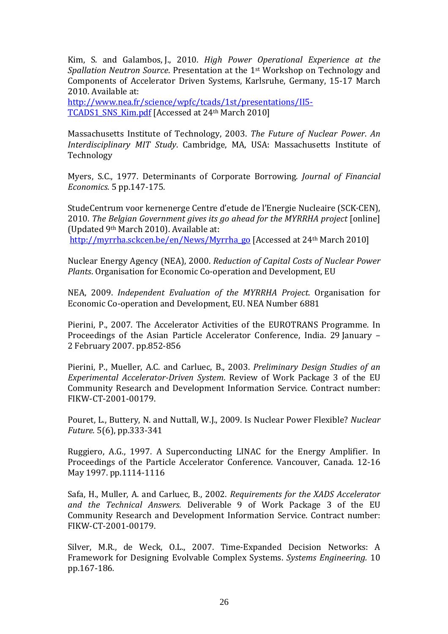Kim, S. and Galambos, J., 2010. *High Power Operational Experience at the Spallation Neutron Source*. Presentation at the 1st Workshop on Technology and Components of Accelerator Driven Systems, Karlsruhe, Germany, 15-17 March 2010. Available at:

http://www.nea.fr/science/wpfc/tcads/1st/presentations/II5- TCADS1\_SNS\_Kim.pdf [Accessed at 24<sup>th</sup> March 2010]

Massachusetts Institute of Technology, 2003. *The Future of Nuclear Power*. *An Interdisciplinary MIT Study*. Cambridge, MA, USA: Massachusetts Institute of Technology

Myers, S.C., 1977. Determinants of Corporate Borrowing. *Journal of Financial Economics.* 5 pp.147-175*.* 

StudeCentrum voor kernenerge Centre d'etude de l'Energie Nucleaire (SCK·CEN), 2010. *The Belgian Government gives its go ahead for the MYRRHA project* [online] (Updated 9th March 2010). Available at: http://myrrha.sckcen.be/en/News/Myrrha\_go [Accessed at 24th March 2010]

Nuclear Energy Agency (NEA), 2000. *Reduction of Capital Costs of Nuclear Power Plants*. Organisation for Economic Co-operation and Development, EU

NEA, 2009. *Independent Evaluation of the MYRRHA Project*. Organisation for Economic Co-operation and Development, EU. NEA Number 6881

Pierini, P., 2007. The Accelerator Activities of the EUROTRANS Programme. In Proceedings of the Asian Particle Accelerator Conference, India. 29 January – 2 February 2007. pp.852-856

Pierini, P., Mueller, A.C. and Carluec, B., 2003. *Preliminary Design Studies of an Experimental Accelerator-Driven System*. Review of Work Package 3 of the EU Community Research and Development Information Service. Contract number: FIKW-CT-2001-00179.

Pouret, L., Buttery, N. and Nuttall, W.J., 2009. Is Nuclear Power Flexible? *Nuclear Future.* 5(6), pp.333-341

Ruggiero, A.G., 1997. A Superconducting LINAC for the Energy Amplifier. In Proceedings of the Particle Accelerator Conference. Vancouver, Canada. 12-16 May 1997. pp.1114-1116

Safa, H., Muller, A. and Carluec, B., 2002. *Requirements for the XADS Accelerator and the Technical Answers.* Deliverable 9 of Work Package 3 of the EU Community Research and Development Information Service. Contract number: FIKW-CT-2001-00179.

Silver, M.R., de Weck, O.L., 2007. Time-Expanded Decision Networks: A Framework for Designing Evolvable Complex Systems. *Systems Engineering.* 10 pp.167-186*.*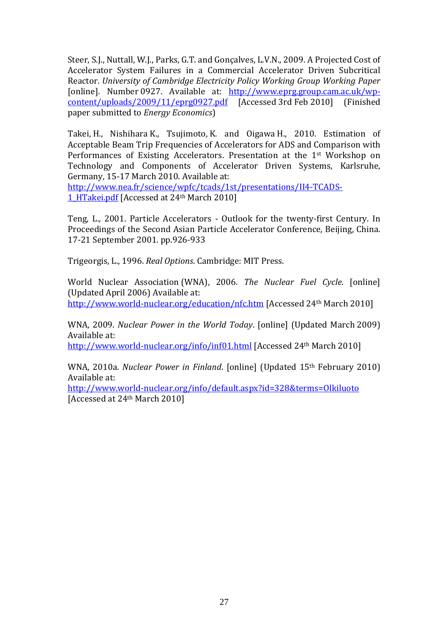Steer, S.J., Nuttall, W.J., Parks, G.T. and Gonçalves, L.V.N., 2009. A Projected Cost of Accelerator System Failures in a Commercial Accelerator Driven Subcritical Reactor. *University of Cambridge Electricity Policy Working Group Working Paper* [online]. Number 0927. Available at: http://www.eprg.group.cam.ac.uk/wpcontent/uploads/2009/11/eprg0927.pdf [Accessed 3rd Feb 2010] (Finished paper submitted to *Energy Economics*)

Takei, H., Nishihara K., Tsujimoto, K. and Oigawa H., 2010. Estimation of Acceptable Beam Trip Frequencies of Accelerators for ADS and Comparison with Performances of Existing Accelerators. Presentation at the 1st Workshop on Technology and Components of Accelerator Driven Systems, Karlsruhe, Germany, 15-17 March 2010. Available at:

http://www.nea.fr/science/wpfc/tcads/1st/presentations/II4-TCADS-1 HTakei.pdf [Accessed at 24<sup>th</sup> March 2010]

Teng, L., 2001. Particle Accelerators - Outlook for the twenty-first Century. In Proceedings of the Second Asian Particle Accelerator Conference, Beijing, China. 17-21 September 2001. pp.926-933

Trigeorgis, L., 1996. *Real Options*. Cambridge: MIT Press.

World Nuclear Association (WNA), 2006. *The Nuclear Fuel Cycle*. [online] (Updated April 2006) Available at: http://www.world-nuclear.org/education/nfc.htm [Accessed 24th March 2010]

WNA, 2009. *Nuclear Power in the World Today*. [online] (Updated March 2009) Available at:

http://www.world-nuclear.org/info/inf01.html [Accessed 24th March 2010]

WNA, 2010a. *Nuclear Power in Finland*. [online] (Updated 15th February 2010) Available at:

http://www.world-nuclear.org/info/default.aspx?id=328&terms=Olkiluoto [Accessed at 24th March 2010]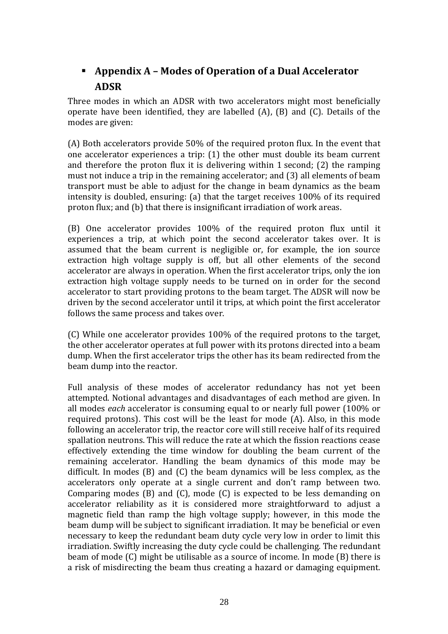# **Appendix A – Modes of Operation of a Dual Accelerator ADSR**

Three modes in which an ADSR with two accelerators might most beneficially operate have been identified, they are labelled (A), (B) and (C). Details of the modes are given:

(A) Both accelerators provide 50% of the required proton flux. In the event that one accelerator experiences a trip: (1) the other must double its beam current and therefore the proton flux it is delivering within 1 second; (2) the ramping must not induce a trip in the remaining accelerator; and (3) all elements of beam transport must be able to adjust for the change in beam dynamics as the beam intensity is doubled, ensuring: (a) that the target receives 100% of its required proton flux; and (b) that there is insignificant irradiation of work areas.

(B) One accelerator provides 100% of the required proton flux until it experiences a trip, at which point the second accelerator takes over. It is assumed that the beam current is negligible or, for example, the ion source extraction high voltage supply is off, but all other elements of the second accelerator are always in operation. When the first accelerator trips, only the ion extraction high voltage supply needs to be turned on in order for the second accelerator to start providing protons to the beam target. The ADSR will now be driven by the second accelerator until it trips, at which point the first accelerator follows the same process and takes over.

(C) While one accelerator provides 100% of the required protons to the target, the other accelerator operates at full power with its protons directed into a beam dump. When the first accelerator trips the other has its beam redirected from the beam dump into the reactor.

Full analysis of these modes of accelerator redundancy has not yet been attempted. Notional advantages and disadvantages of each method are given. In all modes *each* accelerator is consuming equal to or nearly full power (100% or required protons). This cost will be the least for mode (A). Also, in this mode following an accelerator trip, the reactor core will still receive half of its required spallation neutrons. This will reduce the rate at which the fission reactions cease effectively extending the time window for doubling the beam current of the remaining accelerator. Handling the beam dynamics of this mode may be difficult. In modes (B) and (C) the beam dynamics will be less complex, as the accelerators only operate at a single current and don't ramp between two. Comparing modes (B) and (C), mode (C) is expected to be less demanding on accelerator reliability as it is considered more straightforward to adjust a magnetic field than ramp the high voltage supply; however, in this mode the beam dump will be subject to significant irradiation. It may be beneficial or even necessary to keep the redundant beam duty cycle very low in order to limit this irradiation. Swiftly increasing the duty cycle could be challenging. The redundant beam of mode (C) might be utilisable as a source of income. In mode (B) there is a risk of misdirecting the beam thus creating a hazard or damaging equipment.